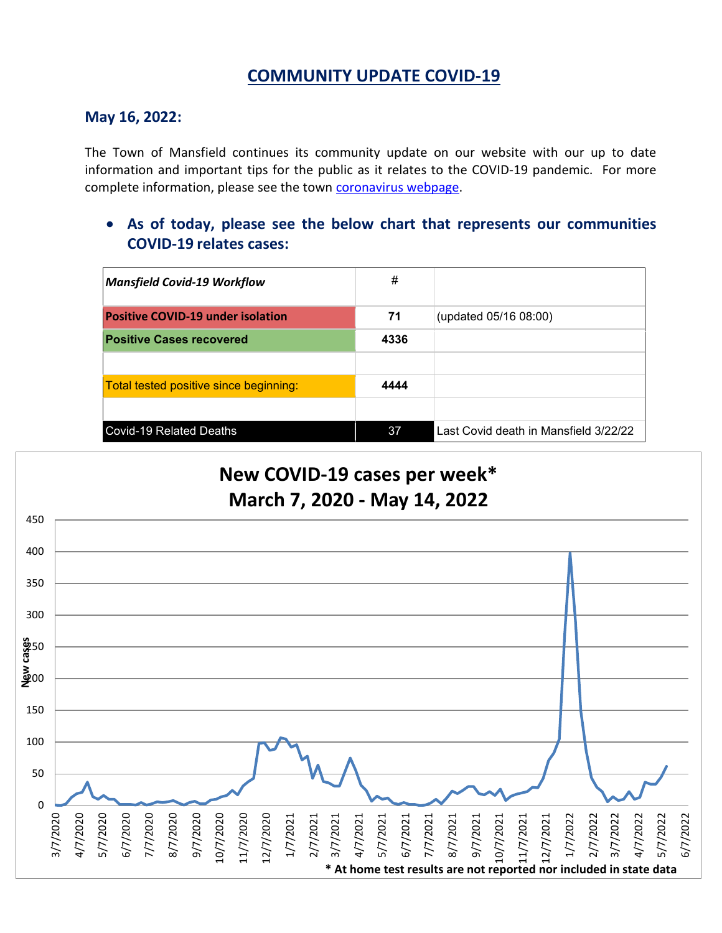# **COMMUNITY UPDATE COVID-19**

#### **May 16, 2022:**

The Town of Mansfield continues its community update on our website with our up to date information and important tips for the public as it relates to the COVID-19 pandemic. For more complete information, please see the town [coronavirus webpage.](https://www.mansfieldma.com/536/Coronavirus-Information)

• **As of today, please see the below chart that represents our communities COVID-19 relates cases:**

| <b>Mansfield Covid-19 Workflow</b>       | #    |                                       |
|------------------------------------------|------|---------------------------------------|
| <b>Positive COVID-19 under isolation</b> | 71   | (updated 05/16 08:00)                 |
| <b>Positive Cases recovered</b>          | 4336 |                                       |
|                                          |      |                                       |
| Total tested positive since beginning:   | 4444 |                                       |
|                                          |      |                                       |
| <b>Covid-19 Related Deaths</b>           | 37   | Last Covid death in Mansfield 3/22/22 |

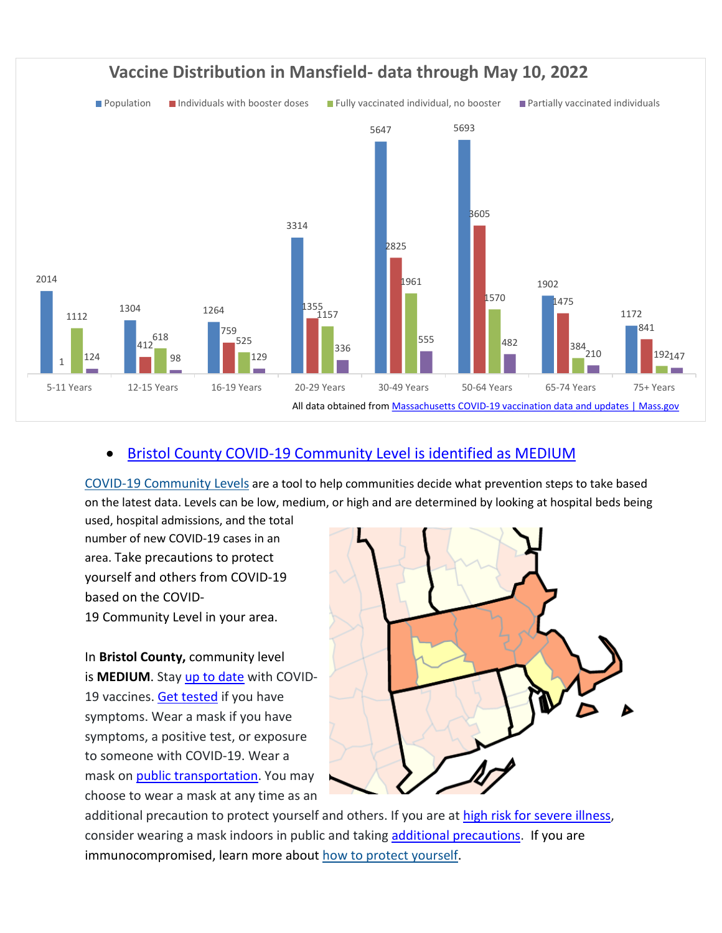

## • [Bristol County COVID-19 Community Level is identified as MEDIUM](https://www.cdc.gov/coronavirus/2019-ncov/your-health/covid-by-county.html?ACSTrackingID=USCDC_2145-DM76655&ACSTrackingLabel=02.25.2022%20-%20COVID-19%20Data%20Tracker%20Weekly%20Review&deliveryName=USCDC_2145-DM76655)

[COVID-19 Community Levels](https://www.cdc.gov/coronavirus/2019-ncov/science/community-levels.html) are a tool to help communities decide what prevention steps to take based on the latest data. Levels can be low, medium, or high and are determined by looking at hospital beds being

used, hospital admissions, and the total number of new COVID-19 cases in an area. Take precautions to protect yourself and others from COVID-19 based on the COVID-

19 Community Level in your area.

In **Bristol County,** community level is **MEDIUM**. Stay [up to date](https://www.cdc.gov/coronavirus/2019-ncov/vaccines/stay-up-to-date.html) with COVID-19 vaccines. [Get tested](https://www.cdc.gov/coronavirus/2019-ncov/testing/diagnostic-testing.html) if you have symptoms. Wear a mask if you have symptoms, a positive test, or exposure to someone with COVID-19. Wear a mask on [public transportation.](https://www.cdc.gov/coronavirus/2019-ncov/travelers/face-masks-public-transportation.html) You may choose to wear a mask at any time as an



additional precaution to protect yourself and others. If you are at [high risk for severe illness,](https://www.cdc.gov/coronavirus/2019-ncov/need-extra-precautions/index.html) consider wearing a mask indoors in public and taking [additional precautions.](https://www.cdc.gov/coronavirus/2019-ncov/prevent-getting-sick/prevention.html) If you are immunocompromised, learn more about [how to protect yourself.](https://www.cdc.gov/coronavirus/2019-ncov/science/community-levels.html#anchor_47145)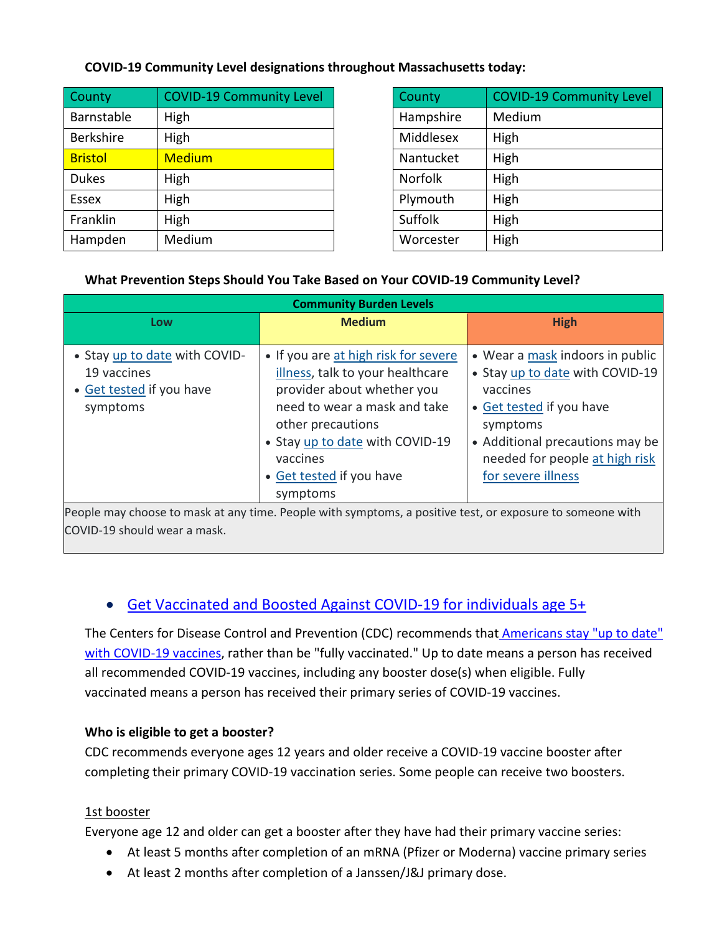#### **COVID-19 Community Level designations throughout Massachusetts today:**

| County           | <b>COVID-19 Community Level</b> | County         | <b>COVID-19 Community Level</b> |
|------------------|---------------------------------|----------------|---------------------------------|
| Barnstable       | High                            | Hampshire      | Medium                          |
| <b>Berkshire</b> | High                            | Middlesex      | High                            |
| <b>Bristol</b>   | <b>Medium</b>                   | Nantucket      | High                            |
| <b>Dukes</b>     | High                            | <b>Norfolk</b> | High                            |
| Essex            | High                            | Plymouth       | High                            |
| Franklin         | High                            | Suffolk        | High                            |
| Hampden          | Medium                          | Worcester      | High                            |

| County         | <b>COVID-19 Community Level</b> |
|----------------|---------------------------------|
| Hampshire      | Medium                          |
| Middlesex      | High                            |
| Nantucket      | High                            |
| <b>Norfolk</b> | High                            |
| Plymouth       | High                            |
| Suffolk        | High                            |
| Worcester      | High                            |

### **What Prevention Steps Should You Take Based on Your COVID-19 Community Level?**

| <b>Community Burden Levels</b>                                                                                                            |                                                                                                                                                                                                                                                    |                                                                                                                                                                                                                   |  |  |  |
|-------------------------------------------------------------------------------------------------------------------------------------------|----------------------------------------------------------------------------------------------------------------------------------------------------------------------------------------------------------------------------------------------------|-------------------------------------------------------------------------------------------------------------------------------------------------------------------------------------------------------------------|--|--|--|
| Low                                                                                                                                       | <b>Medium</b>                                                                                                                                                                                                                                      | <b>High</b>                                                                                                                                                                                                       |  |  |  |
| • Stay up to date with COVID-<br>19 vaccines<br>• Get tested if you have<br>symptoms                                                      | • If you are at high risk for severe<br>illness, talk to your healthcare<br>provider about whether you<br>need to wear a mask and take<br>other precautions<br>• Stay up to date with COVID-19<br>vaccines<br>• Get tested if you have<br>symptoms | • Wear a mask indoors in public<br>• Stay up to date with COVID-19<br>vaccines<br>• Get tested if you have<br>symptoms<br>• Additional precautions may be<br>needed for people at high risk<br>for severe illness |  |  |  |
| People may choose to mask at any time. People with symptoms, a positive test, or exposure to someone with<br>COVID-19 should wear a mask. |                                                                                                                                                                                                                                                    |                                                                                                                                                                                                                   |  |  |  |

## • [Get Vaccinated and Boosted Against COVID-19](https://www.mass.gov/covid-19-vaccine) for individuals age 5+

The Centers for Disease Control and Prevention (CDC) recommends that Americans stay "up to date" [with COVID-19 vaccines,](https://www.cdc.gov/coronavirus/2019-ncov/vaccines/stay-up-to-date.html) rather than be "fully vaccinated." Up to date means a person has received all recommended COVID-19 vaccines, including any booster dose(s) when eligible. Fully vaccinated means a person has received their primary series of COVID-19 vaccines.

### **Who is eligible to get a booster?**

CDC recommends everyone ages 12 years and older receive a COVID-19 vaccine booster after completing their primary COVID-19 vaccination series. Some people can receive two boosters.

#### 1st booster

Everyone age 12 and older can get a booster after they have had their primary vaccine series:

- At least 5 months after completion of an mRNA (Pfizer or Moderna) vaccine primary series
- At least 2 months after completion of a Janssen/J&J primary dose.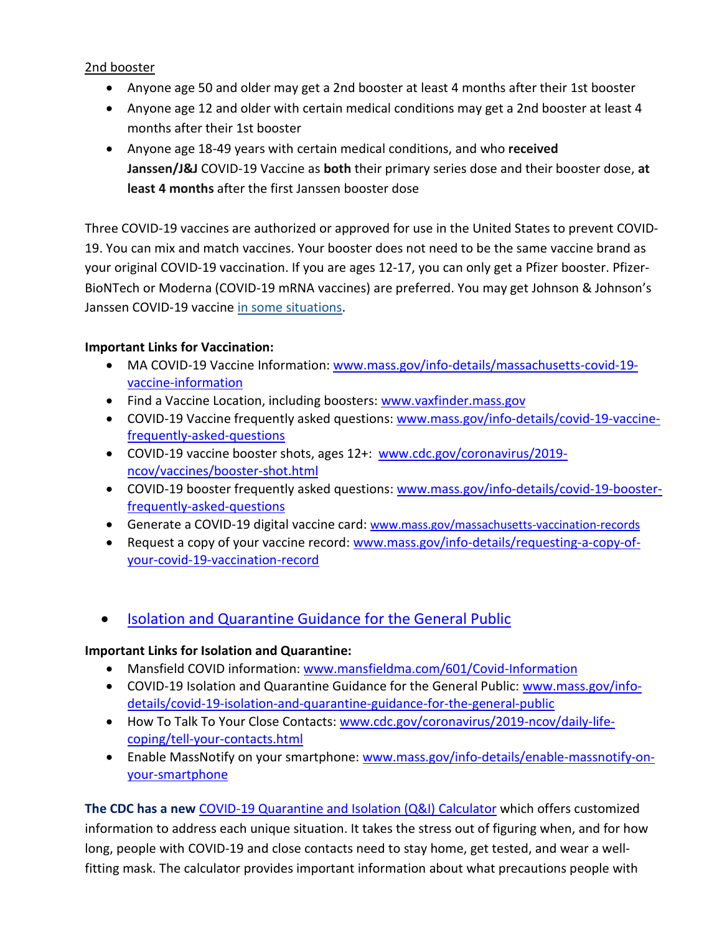### 2nd booster

- Anyone age 50 and older may get a 2nd booster at least 4 months after their 1st booster
- Anyone age 12 and older with certain medical conditions may get a 2nd booster at least 4 months after their 1st booster
- Anyone age 18-49 years with certain medical conditions, and who **received Janssen/J&J** COVID-19 Vaccine as **both** their primary series dose and their booster dose, **at least 4 months** after the first Janssen booster dose

Three COVID-19 vaccines are authorized or approved for use in the United States to prevent COVID-19. You can mix and match vaccines. Your booster does not need to be the same vaccine brand as your original COVID-19 vaccination. If you are ages 12-17, you can only get a Pfizer booster. Pfizer-BioNTech or Moderna (COVID-19 mRNA vaccines) are preferred. You may get Johnson & Johnson's Janssen COVID-19 vaccine [in some situations.](https://www.cdc.gov/coronavirus/2019-ncov/vaccines/different-vaccines/janssen.html)

## **Important Links for Vaccination:**

- MA COVID-19 Vaccine Information: [www.mass.gov/info-details/massachusetts-covid-19](http://www.mass.gov/info-details/massachusetts-covid-19-vaccine-information) [vaccine-information](http://www.mass.gov/info-details/massachusetts-covid-19-vaccine-information)
- Find a Vaccine Location, including boosters: [www.vaxfinder.mass.gov](http://www.vaxfinder.mass.gov/)
- COVID-19 Vaccine frequently asked questions: [www.mass.gov/info-details/covid-19-vaccine](http://www.mass.gov/info-details/covid-19-vaccine-frequently-asked-questions)[frequently-asked-questions](http://www.mass.gov/info-details/covid-19-vaccine-frequently-asked-questions)
- COVID-19 vaccine booster shots, ages 12+: [www.cdc.gov/coronavirus/2019](http://www.cdc.gov/coronavirus/2019-ncov/vaccines/booster-shot.html) [ncov/vaccines/booster-shot.html](http://www.cdc.gov/coronavirus/2019-ncov/vaccines/booster-shot.html)
- COVID-19 booster frequently asked questions: [www.mass.gov/info-details/covid-19-booster](http://www.mass.gov/info-details/covid-19-booster-frequently-asked-questions)[frequently-asked-questions](http://www.mass.gov/info-details/covid-19-booster-frequently-asked-questions)
- Generate a COVID-19 digital vaccine card: [www.mass.gov/massachusetts-vaccination-records](http://www.mass.gov/massachusetts-vaccination-records)
- Request a copy of your vaccine record: [www.mass.gov/info-details/requesting-a-copy-of](http://www.mass.gov/info-details/requesting-a-copy-of-your-covid-19-vaccination-record)[your-covid-19-vaccination-record](http://www.mass.gov/info-details/requesting-a-copy-of-your-covid-19-vaccination-record)
- [Isolation and Quarantine Guidance for the General Public](https://www.mass.gov/info-details/isolation-and-quarantine-guidance-for-the-general-public)

### **Important Links for Isolation and Quarantine:**

- Mansfield COVID information: [www.mansfieldma.com/601/Covid-Information](http://www.mansfieldma.com/601/Covid-Information)
- COVID-19 Isolation and Quarantine Guidance for the General Public: [www.mass.gov/info](http://www.mass.gov/info-details/covid-19-isolation-and-quarantine-guidance-for-the-general-public)[details/covid-19-isolation-and-quarantine-guidance-for-the-general-public](http://www.mass.gov/info-details/covid-19-isolation-and-quarantine-guidance-for-the-general-public)
- How To Talk To Your Close Contacts: [www.cdc.gov/coronavirus/2019-ncov/daily-life](http://www.cdc.gov/coronavirus/2019-ncov/daily-life-coping/tell-your-contacts.html)[coping/tell-your-contacts.html](http://www.cdc.gov/coronavirus/2019-ncov/daily-life-coping/tell-your-contacts.html)
- Enable MassNotify on your smartphone: [www.mass.gov/info-details/enable-massnotify-on](http://www.mass.gov/info-details/enable-massnotify-on-your-smartphone)[your-smartphone](http://www.mass.gov/info-details/enable-massnotify-on-your-smartphone)

**The CDC has a new** [COVID-19 Quarantine and Isolation \(Q&I\) Calculator](https://protect-us.mimecast.com/s/ITAHCW6pAlhYKkOfnm4Tg?domain=cdc.gov) which offers customized information to address each unique situation. It takes the stress out of figuring when, and for how long, people with COVID-19 and close contacts need to stay home, get tested, and wear a wellfitting mask. The calculator provides important information about what precautions people with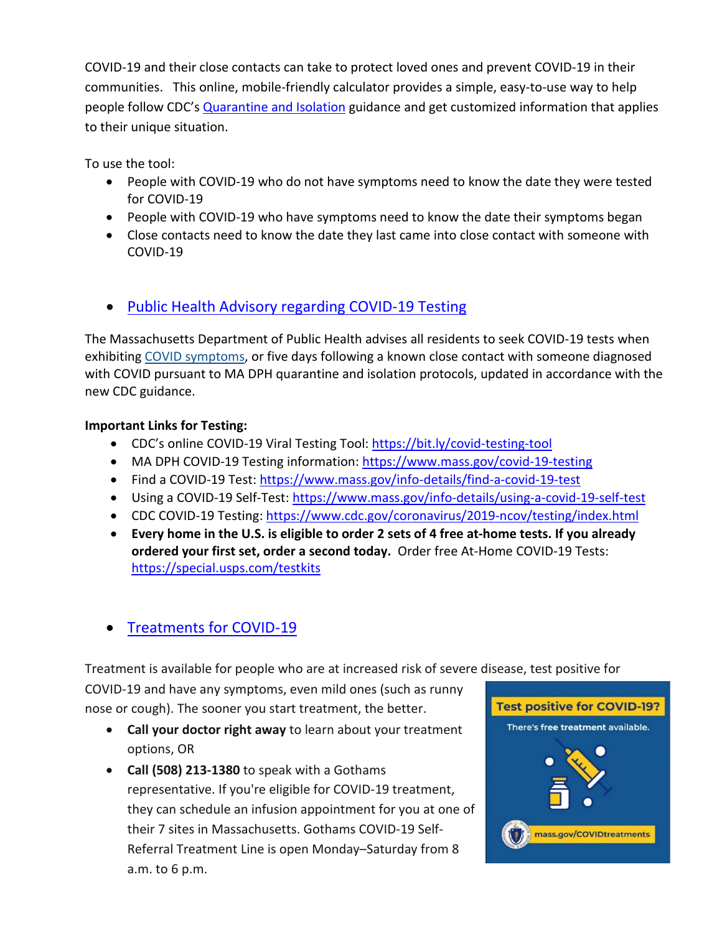COVID-19 and their close contacts can take to protect loved ones and prevent COVID-19 in their communities. This online, mobile-friendly calculator provides a simple, easy-to-use way to help people follow CDC's [Quarantine and Isolation](https://protect-us.mimecast.com/s/dSTOCmZ8WnIYnNWTwLQn0?domain=t.emailupdates.cdc.gov) guidance and get customized information that applies to their unique situation.

To use the tool:

- People with COVID-19 who do not have symptoms need to know the date they were tested for COVID-19
- People with COVID-19 who have symptoms need to know the date their symptoms began
- Close contacts need to know the date they last came into close contact with someone with COVID-19

## • [Public Health Advisory regarding COVID-19 Testing](https://www.mass.gov/advisory/public-health-advisory-regarding-covid-19-testing)

The Massachusetts Department of Public Health advises all residents to seek COVID-19 tests when exhibiting [COVID symptoms,](https://www.mass.gov/info-details/about-covid-19#symptoms-) or five days following a known close contact with someone diagnosed with COVID pursuant to MA DPH quarantine and isolation protocols, updated in accordance with the new CDC guidance.

### **Important Links for Testing:**

- CDC's online COVID-19 Viral Testing Tool: [https://bit.ly/covid-testing-tool](https://bit.ly/covid-testing-tool?fbclid=IwAR2ddn7qeVY_b_v0O-rkK3en8x-EPMGTVlQDDSNZxwhZrjtH_hTNHEzYKP8)
- MA DPH COVID-19 Testing information:<https://www.mass.gov/covid-19-testing>
- Find a COVID-19 Test:<https://www.mass.gov/info-details/find-a-covid-19-test>
- Using a COVID-19 Self-Test:<https://www.mass.gov/info-details/using-a-covid-19-self-test>
- CDC COVID-19 Testing:<https://www.cdc.gov/coronavirus/2019-ncov/testing/index.html>
- **Every home in the U.S. is eligible to order 2 sets of 4 free at-home tests. If you already ordered your first set, order a second today.** Order free At-Home COVID-19 Tests: <https://special.usps.com/testkits>

## • [Treatments for COVID-19](https://www.mass.gov/info-details/treatments-for-covid-19)

Treatment is available for people who are at increased risk of severe disease, test positive for

COVID-19 and have any symptoms, even mild ones (such as runny nose or cough). The sooner you start treatment, the better.

- **Call your doctor right away** to learn about your treatment options, OR
- **Call (508) 213-1380** to speak with a Gothams representative. If you're eligible for COVID-19 treatment, they can schedule an infusion appointment for you at one of their 7 sites in Massachusetts. Gothams COVID-19 Self-Referral Treatment Line is open Monday–Saturday from 8 a.m. to 6 p.m.